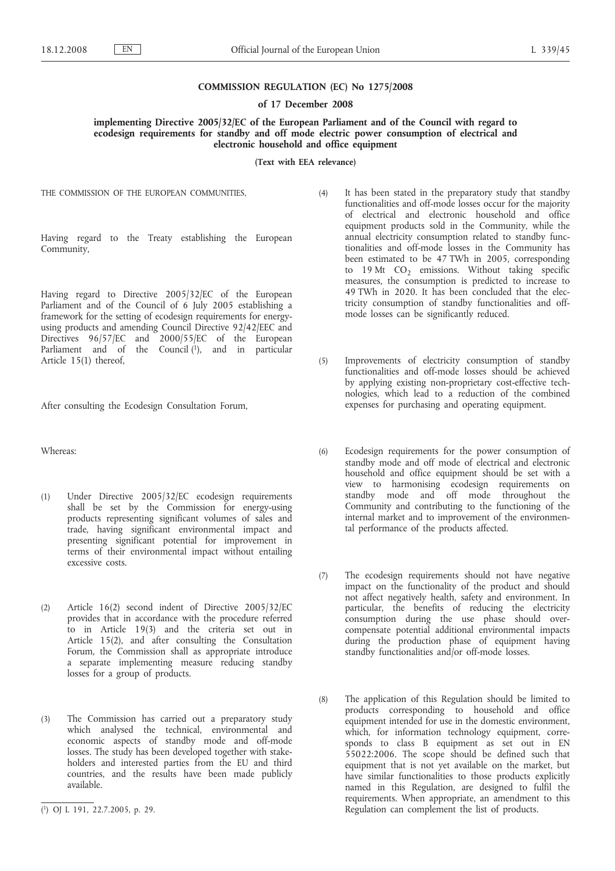## **COMMISSION REGULATION (EC) No 1275/2008**

#### **of 17 December 2008**

# **implementing Directive 2005/32/EC of the European Parliament and of the Council with regard to ecodesign requirements for standby and off mode electric power consumption of electrical and electronic household and office equipment**

**(Text with EEA relevance)**

THE COMMISSION OF THE EUROPEAN COMMUNITIES,

Having regard to the Treaty establishing the European Community,

Having regard to Directive 2005/32/EC of the European Parliament and of the Council of 6 July 2005 establishing a framework for the setting of ecodesign requirements for energyusing products and amending Council Directive 92/42/EEC and Directives 96/57/EC and 2000/55/EC of the European Parliament and of the Council  $(1)$ , and in particular Article 15(1) thereof,

After consulting the Ecodesign Consultation Forum,

Whereas:

- (1) Under Directive 2005/32/EC ecodesign requirements shall be set by the Commission for energy-using products representing significant volumes of sales and trade, having significant environmental impact and presenting significant potential for improvement in terms of their environmental impact without entailing excessive costs.
- (2) Article 16(2) second indent of Directive 2005/32/EC provides that in accordance with the procedure referred to in Article 19(3) and the criteria set out in Article 15(2), and after consulting the Consultation Forum, the Commission shall as appropriate introduce a separate implementing measure reducing standby losses for a group of products.
- (3) The Commission has carried out a preparatory study which analysed the technical, environmental and economic aspects of standby mode and off-mode losses. The study has been developed together with stakeholders and interested parties from the EU and third countries, and the results have been made publicly available.
- (4) It has been stated in the preparatory study that standby functionalities and off-mode losses occur for the majority of electrical and electronic household and office equipment products sold in the Community, while the annual electricity consumption related to standby functionalities and off-mode losses in the Community has been estimated to be 47 TWh in 2005, corresponding to 19 Mt  $CO<sub>2</sub>$  emissions. Without taking specific measures, the consumption is predicted to increase to 49 TWh in 2020. It has been concluded that the electricity consumption of standby functionalities and offmode losses can be significantly reduced.
- (5) Improvements of electricity consumption of standby functionalities and off-mode losses should be achieved by applying existing non-proprietary cost-effective technologies, which lead to a reduction of the combined expenses for purchasing and operating equipment.
- (6) Ecodesign requirements for the power consumption of standby mode and off mode of electrical and electronic household and office equipment should be set with a view to harmonising ecodesign requirements on standby mode and off mode throughout the Community and contributing to the functioning of the internal market and to improvement of the environmental performance of the products affected.
- (7) The ecodesign requirements should not have negative impact on the functionality of the product and should not affect negatively health, safety and environment. In particular, the benefits of reducing the electricity consumption during the use phase should overcompensate potential additional environmental impacts during the production phase of equipment having standby functionalities and/or off-mode losses.
- (8) The application of this Regulation should be limited to products corresponding to household and office equipment intended for use in the domestic environment, which, for information technology equipment, corresponds to class B equipment as set out in EN 55022:2006. The scope should be defined such that equipment that is not yet available on the market, but have similar functionalities to those products explicitly named in this Regulation, are designed to fulfil the requirements. When appropriate, an amendment to this Regulation can complement the list of products.

<sup>(</sup> 1) OJ L 191, 22.7.2005, p. 29.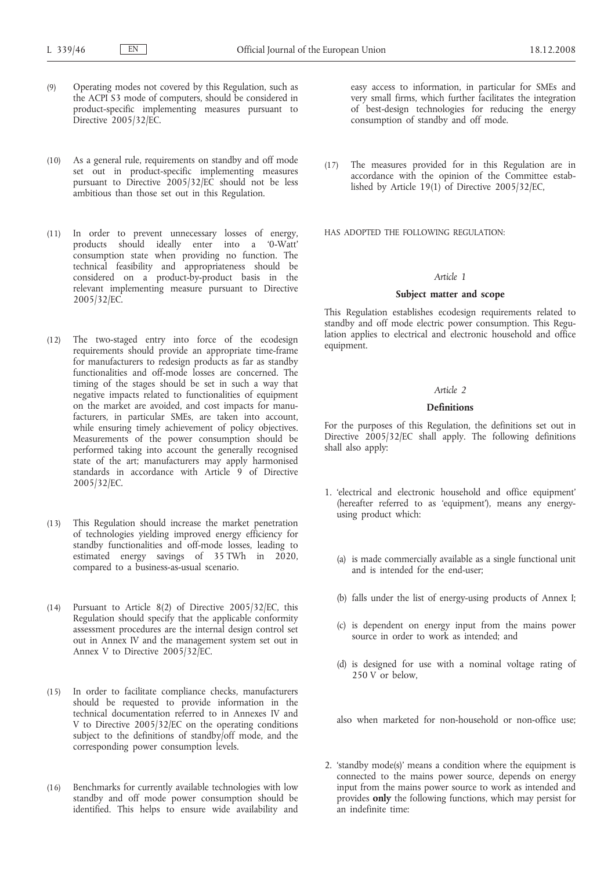- (9) Operating modes not covered by this Regulation, such as the ACPI S3 mode of computers, should be considered in product-specific implementing measures pursuant to Directive 2005/32/EC.
- (10) As a general rule, requirements on standby and off mode set out in product-specific implementing measures pursuant to Directive  $2005/32/E\overline{C}$  should not be less ambitious than those set out in this Regulation.
- (11) In order to prevent unnecessary losses of energy, products should ideally enter into a '0-Watt' consumption state when providing no function. The technical feasibility and appropriateness should be considered on a product-by-product basis in the relevant implementing measure pursuant to Directive 2005/32/EC.
- (12) The two-staged entry into force of the ecodesign requirements should provide an appropriate time-frame for manufacturers to redesign products as far as standby functionalities and off-mode losses are concerned. The timing of the stages should be set in such a way that negative impacts related to functionalities of equipment on the market are avoided, and cost impacts for manufacturers, in particular SMEs, are taken into account, while ensuring timely achievement of policy objectives. Measurements of the power consumption should be performed taking into account the generally recognised state of the art; manufacturers may apply harmonised standards in accordance with Article 9 of Directive 2005/32/EC.
- (13) This Regulation should increase the market penetration of technologies yielding improved energy efficiency for standby functionalities and off-mode losses, leading to estimated energy savings of 35 TWh in 2020, compared to a business-as-usual scenario.
- (14) Pursuant to Article 8(2) of Directive 2005/32/EC, this Regulation should specify that the applicable conformity assessment procedures are the internal design control set out in Annex IV and the management system set out in Annex V to Directive 2005/32/EC.
- (15) In order to facilitate compliance checks, manufacturers should be requested to provide information in the technical documentation referred to in Annexes IV and V to Directive 2005/32/EC on the operating conditions subject to the definitions of standby/off mode, and the corresponding power consumption levels.
- (16) Benchmarks for currently available technologies with low standby and off mode power consumption should be identified. This helps to ensure wide availability and

easy access to information, in particular for SMEs and very small firms, which further facilitates the integration of best-design technologies for reducing the energy consumption of standby and off mode.

(17) The measures provided for in this Regulation are in accordance with the opinion of the Committee established by Article 19(1) of Directive 2005/32/EC,

HAS ADOPTED THE FOLLOWING REGULATION:

# *Article 1*

### **Subject matter and scope**

This Regulation establishes ecodesign requirements related to standby and off mode electric power consumption. This Regulation applies to electrical and electronic household and office equipment.

## *Article 2*

# **Definitions**

For the purposes of this Regulation, the definitions set out in Directive 2005/32/EC shall apply. The following definitions shall also apply:

- 1. 'electrical and electronic household and office equipment' (hereafter referred to as 'equipment'), means any energyusing product which:
	- (a) is made commercially available as a single functional unit and is intended for the end-user;
	- (b) falls under the list of energy-using products of Annex I;
	- (c) is dependent on energy input from the mains power source in order to work as intended; and
	- (d) is designed for use with a nominal voltage rating of 250 V or below.

also when marketed for non-household or non-office use;

2. 'standby mode(s)' means a condition where the equipment is connected to the mains power source, depends on energy input from the mains power source to work as intended and provides **only** the following functions, which may persist for an indefinite time: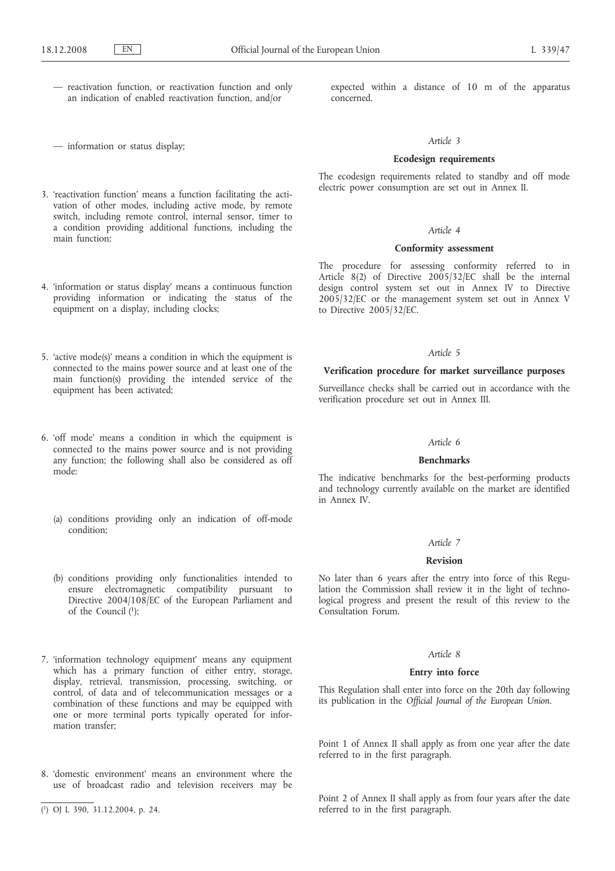— reactivation function, or reactivation function and only an indication of enabled reactivation function, and/or

— information or status display;

- 3. 'reactivation function' means a function facilitating the activation of other modes, including active mode, by remote switch, including remote control, internal sensor, timer to a condition providing additional functions, including the main function;
- 4. 'information or status display' means a continuous function providing information or indicating the status of the equipment on a display, including clocks;
- 5. 'active mode(s)' means a condition in which the equipment is connected to the mains power source and at least one of the main function(s) providing the intended service of the equipment has been activated;
- 6. 'off mode' means a condition in which the equipment is connected to the mains power source and is not providing any function; the following shall also be considered as off mode:
	- (a) conditions providing only an indication of off-mode condition;
	- (b) conditions providing only functionalities intended to ensure electromagnetic compatibility pursuant to Directive 2004/108/EC of the European Parliament and of the Council (1);
- 7. 'information technology equipment' means any equipment which has a primary function of either entry, storage, display, retrieval, transmission, processing, switching, or control, of data and of telecommunication messages or a combination of these functions and may be equipped with one or more terminal ports typically operated for information transfer;
- 8. 'domestic environment' means an environment where the use of broadcast radio and television receivers may be

expected within a distance of 10 m of the apparatus concerned.

#### *Article 3*

## **Ecodesign requirements**

The ecodesign requirements related to standby and off mode electric power consumption are set out in Annex II.

# *Article 4*

# **Conformity assessment**

The procedure for assessing conformity referred to in Article 8(2) of Directive 2005/32/EC shall be the internal design control system set out in Annex IV to Directive 2005/32/EC or the management system set out in Annex V to Directive 2005/32/EC.

### *Article 5*

### **Verification procedure for market surveillance purposes**

Surveillance checks shall be carried out in accordance with the verification procedure set out in Annex III.

## *Article 6*

#### **Benchmarks**

The indicative benchmarks for the best-performing products and technology currently available on the market are identified in Annex IV.

#### *Article 7*

# **Revision**

No later than 6 years after the entry into force of this Regulation the Commission shall review it in the light of technological progress and present the result of this review to the Consultation Forum.

### *Article 8*

### **Entry into force**

This Regulation shall enter into force on the 20th day following its publication in the *Official Journal of the European Union*.

Point 1 of Annex II shall apply as from one year after the date referred to in the first paragraph.

Point 2 of Annex II shall apply as from four years after the date referred to in the first paragraph.

<sup>(</sup> 1) OJ L 390, 31.12.2004, p. 24.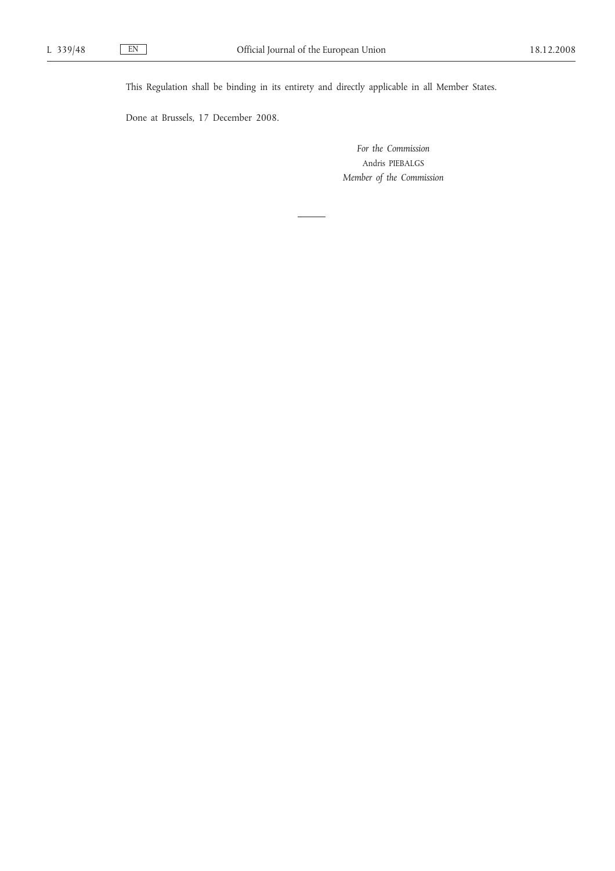This Regulation shall be binding in its entirety and directly applicable in all Member States.

Done at Brussels, 17 December 2008.

*For the Commission* Andris PIEBALGS *Member of the Commission*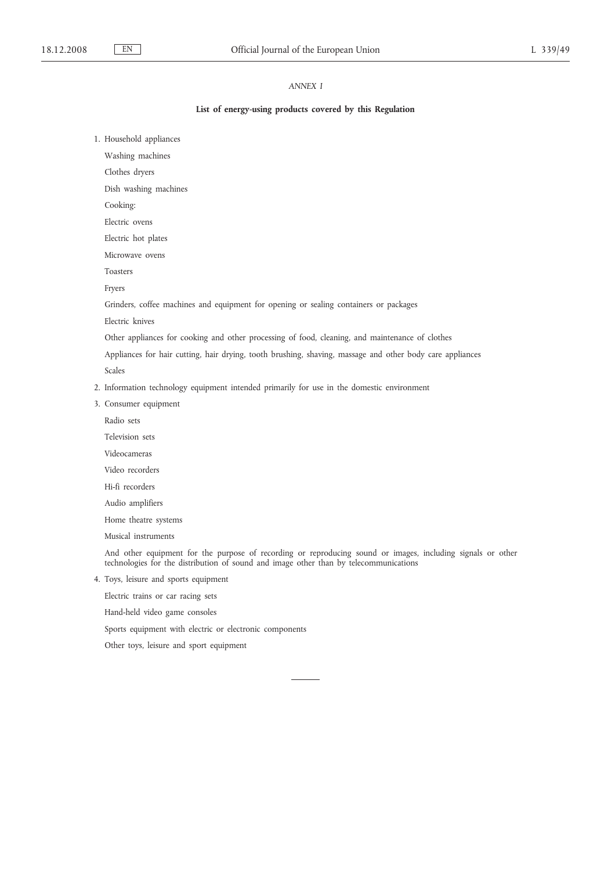# *ANNEX I*

### **List of energy-using products covered by this Regulation**

1. Household appliances

Washing machines

Clothes dryers

Dish washing machines

Cooking:

Electric ovens

Electric hot plates

Microwave ovens

Toasters

Fryers

Grinders, coffee machines and equipment for opening or sealing containers or packages

Electric knives

Other appliances for cooking and other processing of food, cleaning, and maintenance of clothes

Appliances for hair cutting, hair drying, tooth brushing, shaving, massage and other body care appliances

Scales

- 2. Information technology equipment intended primarily for use in the domestic environment
- 3. Consumer equipment
	- Radio sets
	- Television sets
	- Videocameras

Video recorders

Hi-fi recorders

Audio amplifiers

Home theatre systems

Musical instruments

And other equipment for the purpose of recording or reproducing sound or images, including signals or other technologies for the distribution of sound and image other than by telecommunications

4. Toys, leisure and sports equipment

Electric trains or car racing sets

Hand-held video game consoles

Sports equipment with electric or electronic components

Other toys, leisure and sport equipment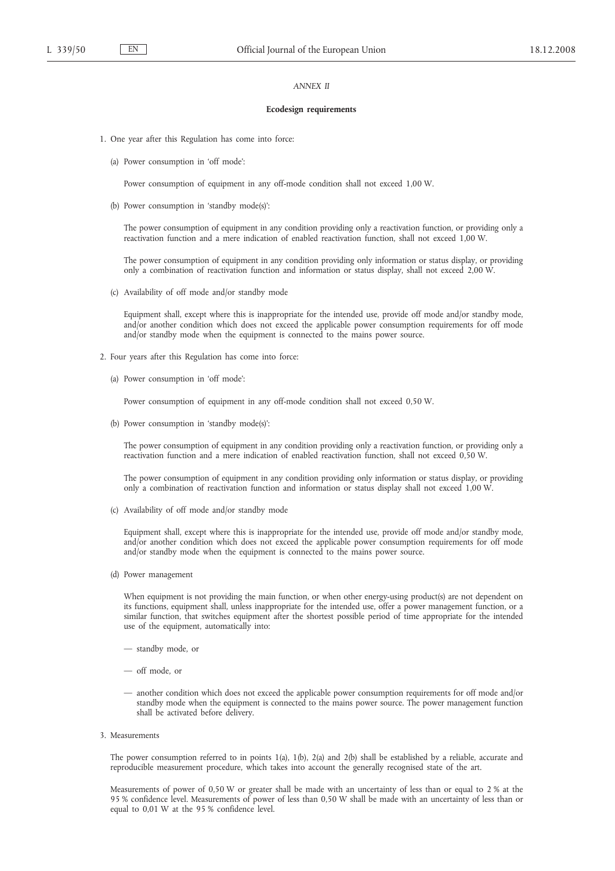### *ANNEX II*

#### **Ecodesign requirements**

- 1. One year after this Regulation has come into force:
	- (a) Power consumption in 'off mode':

Power consumption of equipment in any off-mode condition shall not exceed 1,00 W.

(b) Power consumption in 'standby mode(s)':

The power consumption of equipment in any condition providing only a reactivation function, or providing only a reactivation function and a mere indication of enabled reactivation function, shall not exceed 1,00 W.

The power consumption of equipment in any condition providing only information or status display, or providing only a combination of reactivation function and information or status display, shall not exceed 2,00 W.

(c) Availability of off mode and/or standby mode

Equipment shall, except where this is inappropriate for the intended use, provide off mode and/or standby mode, and/or another condition which does not exceed the applicable power consumption requirements for off mode and/or standby mode when the equipment is connected to the mains power source.

- 2. Four years after this Regulation has come into force:
	- (a) Power consumption in 'off mode':

Power consumption of equipment in any off-mode condition shall not exceed 0,50 W.

(b) Power consumption in 'standby mode(s)':

The power consumption of equipment in any condition providing only a reactivation function, or providing only a reactivation function and a mere indication of enabled reactivation function, shall not exceed 0,50 W.

The power consumption of equipment in any condition providing only information or status display, or providing only a combination of reactivation function and information or status display shall not exceed 1,00 W.

(c) Availability of off mode and/or standby mode

Equipment shall, except where this is inappropriate for the intended use, provide off mode and/or standby mode, and/or another condition which does not exceed the applicable power consumption requirements for off mode and/or standby mode when the equipment is connected to the mains power source.

(d) Power management

When equipment is not providing the main function, or when other energy-using product(s) are not dependent on its functions, equipment shall, unless inappropriate for the intended use, offer a power management function, or a similar function, that switches equipment after the shortest possible period of time appropriate for the intended use of the equipment, automatically into:

- standby mode, or
- off mode, or
- another condition which does not exceed the applicable power consumption requirements for off mode and/or standby mode when the equipment is connected to the mains power source. The power management function shall be activated before delivery.
- 3. Measurements

The power consumption referred to in points 1(a), 1(b), 2(a) and 2(b) shall be established by a reliable, accurate and reproducible measurement procedure, which takes into account the generally recognised state of the art.

Measurements of power of 0,50 W or greater shall be made with an uncertainty of less than or equal to 2 % at the 95 % confidence level. Measurements of power of less than 0,50 W shall be made with an uncertainty of less than or equal to 0,01 W at the 95 % confidence level.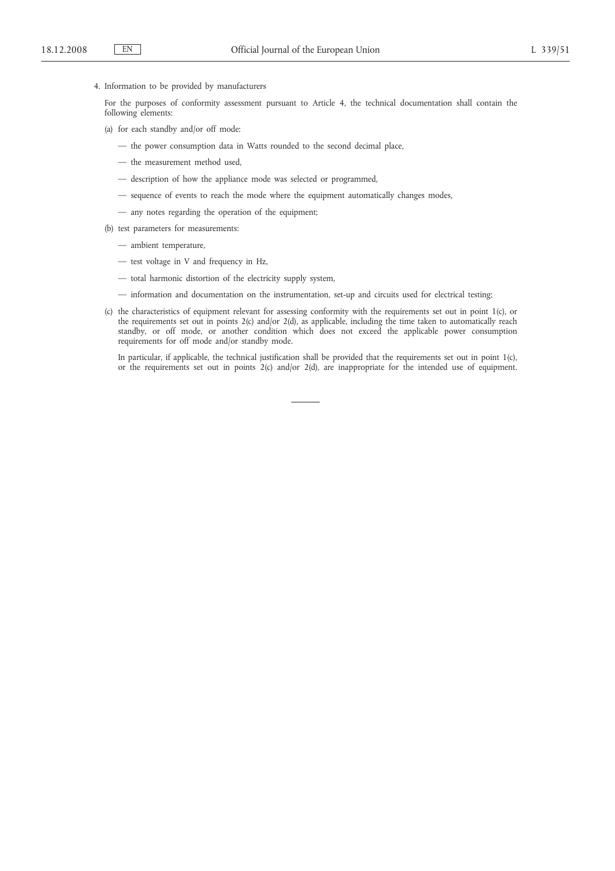4. Information to be provided by manufacturers

For the purposes of conformity assessment pursuant to Article 4, the technical documentation shall contain the following elements:

(a) for each standby and/or off mode:

- the power consumption data in Watts rounded to the second decimal place,
- the measurement method used,
- description of how the appliance mode was selected or programmed,
- sequence of events to reach the mode where the equipment automatically changes modes,
- any notes regarding the operation of the equipment;
- (b) test parameters for measurements:
	- ambient temperature,
	- test voltage in V and frequency in Hz,
	- total harmonic distortion of the electricity supply system,
	- information and documentation on the instrumentation, set-up and circuits used for electrical testing;
- (c) the characteristics of equipment relevant for assessing conformity with the requirements set out in point 1(c), or the requirements set out in points 2(c) and/or 2(d), as applicable, including the time taken to automatically reach standby, or off mode, or another condition which does not exceed the applicable power consumption requirements for off mode and/or standby mode.

In particular, if applicable, the technical justification shall be provided that the requirements set out in point 1(c), or the requirements set out in points 2(c) and/or 2(d), are inappropriate for the intended use of equipment.